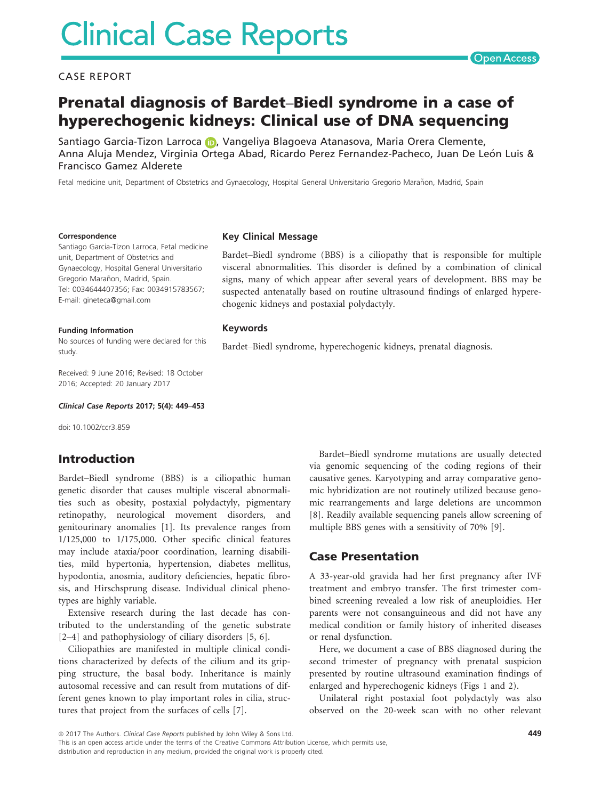#### CASE REPORT

# Prenatal diagnosis of Bardet–Biedl syndrome in a case of hyperechogenic kidneys: Clinical use of DNA sequencing

S[a](http://orcid.org/0000-0003-0520-1170)ntiago Garcia-Tizon Larroca (D, Vangeliya Blagoeva Atanasova, Maria Orera Clemente, Anna Aluja Mendez, Virginia Ortega Abad, Ricardo Perez Fernandez-Pacheco, Juan De León Luis & Francisco Gamez Alderete

Fetal medicine unit, Department of Obstetrics and Gynaecology, Hospital General Universitario Gregorio Marañon, Madrid, Spain

Key Clinical Message

#### Correspondence

Santiago Garcia-Tizon Larroca, Fetal medicine unit, Department of Obstetrics and Gynaecology, Hospital General Universitario Gregorio Marañon, Madrid, Spain. Tel: 0034644407356; Fax: 0034915783567; E-mail: gineteca@gmail.com

#### Funding Information

No sources of funding were declared for this study.

Received: 9 June 2016; Revised: 18 October 2016; Accepted: 20 January 2017

Clinical Case Reports 2017; 5(4): 449–453

doi: 10.1002/ccr3.859

## Introduction

Bardet–Biedl syndrome (BBS) is a ciliopathic human genetic disorder that causes multiple visceral abnormalities such as obesity, postaxial polydactyly, pigmentary retinopathy, neurological movement disorders, and genitourinary anomalies [1]. Its prevalence ranges from 1/125,000 to 1/175,000. Other specific clinical features may include ataxia/poor coordination, learning disabilities, mild hypertonia, hypertension, diabetes mellitus, hypodontia, anosmia, auditory deficiencies, hepatic fibrosis, and Hirschsprung disease. Individual clinical phenotypes are highly variable.

Extensive research during the last decade has contributed to the understanding of the genetic substrate [2–4] and pathophysiology of ciliary disorders [5, 6].

Ciliopathies are manifested in multiple clinical conditions characterized by defects of the cilium and its gripping structure, the basal body. Inheritance is mainly autosomal recessive and can result from mutations of different genes known to play important roles in cilia, structures that project from the surfaces of cells [7].

Bardet–Biedl syndrome (BBS) is a ciliopathy that is responsible for multiple visceral abnormalities. This disorder is defined by a combination of clinical signs, many of which appear after several years of development. BBS may be suspected antenatally based on routine ultrasound findings of enlarged hyperechogenic kidneys and postaxial polydactyly.

#### Keywords

Bardet–Biedl syndrome, hyperechogenic kidneys, prenatal diagnosis.

Bardet–Biedl syndrome mutations are usually detected via genomic sequencing of the coding regions of their causative genes. Karyotyping and array comparative genomic hybridization are not routinely utilized because genomic rearrangements and large deletions are uncommon [8]. Readily available sequencing panels allow screening of multiple BBS genes with a sensitivity of 70% [9].

#### Case Presentation

A 33-year-old gravida had her first pregnancy after IVF treatment and embryo transfer. The first trimester combined screening revealed a low risk of aneuploidies. Her parents were not consanguineous and did not have any medical condition or family history of inherited diseases or renal dysfunction.

Here, we document a case of BBS diagnosed during the second trimester of pregnancy with prenatal suspicion presented by routine ultrasound examination findings of enlarged and hyperechogenic kidneys (Figs 1 and 2).

Unilateral right postaxial foot polydactyly was also observed on the 20-week scan with no other relevant

ª 2017 The Authors. Clinical Case Reports published by John Wiley & Sons Ltd.

This is an open access article under the terms of the [Creative Commons Attribution](http://creativecommons.org/licenses/by/4.0/) License, which permits use, distribution and reproduction in any medium, provided the original work is properly cited.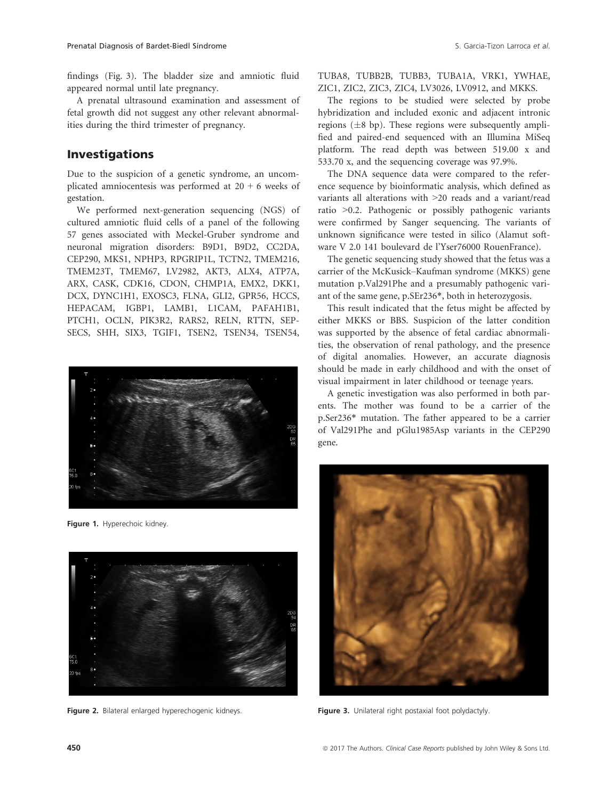findings (Fig. 3). The bladder size and amniotic fluid appeared normal until late pregnancy.

A prenatal ultrasound examination and assessment of fetal growth did not suggest any other relevant abnormalities during the third trimester of pregnancy.

### Investigations

Due to the suspicion of a genetic syndrome, an uncomplicated amniocentesis was performed at  $20 + 6$  weeks of gestation.

We performed next-generation sequencing (NGS) of cultured amniotic fluid cells of a panel of the following 57 genes associated with Meckel-Gruber syndrome and neuronal migration disorders: B9D1, B9D2, CC2DA, CEP290, MKS1, NPHP3, RPGRIP1L, TCTN2, TMEM216, TMEM23T, TMEM67, LV2982, AKT3, ALX4, ATP7A, ARX, CASK, CDK16, CDON, CHMP1A, EMX2, DKK1, DCX, DYNC1H1, EXOSC3, FLNA, GLI2, GPR56, HCCS, HEPACAM, IGBP1, LAMB1, L1CAM, PAFAH1B1, PTCH1, OCLN, PIK3R2, RARS2, RELN, RTTN, SEP-SECS, SHH, SIX3, TGIF1, TSEN2, TSEN34, TSEN54,



Figure 1. Hyperechoic kidney.



Figure 2. Bilateral enlarged hyperechogenic kidneys. Figure 3. Unilateral right postaxial foot polydactyly.

TUBA8, TUBB2B, TUBB3, TUBA1A, VRK1, YWHAE, ZIC1, ZIC2, ZIC3, ZIC4, LV3026, LV0912, and MKKS.

The regions to be studied were selected by probe hybridization and included exonic and adjacent intronic regions  $(\pm 8$  bp). These regions were subsequently amplified and paired-end sequenced with an Illumina MiSeq platform. The read depth was between 519.00 x and 533.70 x, and the sequencing coverage was 97.9%.

The DNA sequence data were compared to the reference sequence by bioinformatic analysis, which defined as variants all alterations with >20 reads and a variant/read ratio >0.2. Pathogenic or possibly pathogenic variants were confirmed by Sanger sequencing. The variants of unknown significance were tested in silico (Alamut software V 2.0 141 boulevard de l'Yser76000 RouenFrance).

The genetic sequencing study showed that the fetus was a carrier of the McKusick–Kaufman syndrome (MKKS) gene mutation p.Val291Phe and a presumably pathogenic variant of the same gene, p.SEr236\*, both in heterozygosis.

This result indicated that the fetus might be affected by either MKKS or BBS. Suspicion of the latter condition was supported by the absence of fetal cardiac abnormalities, the observation of renal pathology, and the presence of digital anomalies. However, an accurate diagnosis should be made in early childhood and with the onset of visual impairment in later childhood or teenage years.

A genetic investigation was also performed in both parents. The mother was found to be a carrier of the p.Ser236\* mutation. The father appeared to be a carrier of Val291Phe and pGlu1985Asp variants in the CEP290 gene.

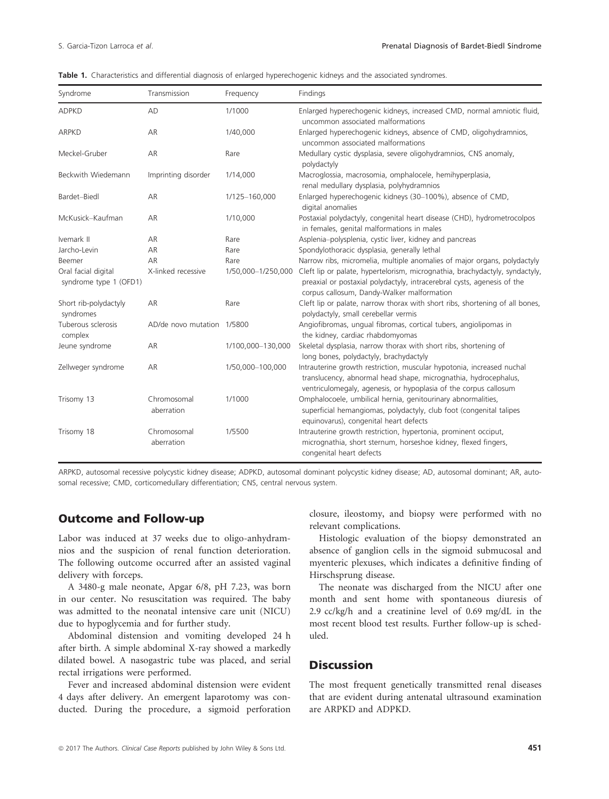|  |  |  |  |  | Table 1. Characteristics and differential diagnosis of enlarged hyperechogenic kidneys and the associated syndromes |  |  |  |
|--|--|--|--|--|---------------------------------------------------------------------------------------------------------------------|--|--|--|
|--|--|--|--|--|---------------------------------------------------------------------------------------------------------------------|--|--|--|

| Syndrome                                      | Transmission               | Frequency          | Findings                                                                                                                                                                                                     |  |
|-----------------------------------------------|----------------------------|--------------------|--------------------------------------------------------------------------------------------------------------------------------------------------------------------------------------------------------------|--|
| <b>ADPKD</b>                                  | AD                         | 1/1000             | Enlarged hyperechogenic kidneys, increased CMD, normal amniotic fluid,<br>uncommon associated malformations                                                                                                  |  |
| <b>ARPKD</b>                                  | AR                         | 1/40,000           | Enlarged hyperechogenic kidneys, absence of CMD, oligohydramnios,<br>uncommon associated malformations                                                                                                       |  |
| Meckel-Gruber                                 | AR                         | Rare               | Medullary cystic dysplasia, severe oligohydramnios, CNS anomaly,<br>polydactyly                                                                                                                              |  |
| Beckwith Wiedemann                            | Imprinting disorder        | 1/14,000           | Macroglossia, macrosomia, omphalocele, hemihyperplasia,<br>renal medullary dysplasia, polyhydramnios                                                                                                         |  |
| Bardet-Biedl                                  | AR                         | 1/125-160,000      | Enlarged hyperechogenic kidneys (30-100%), absence of CMD,<br>digital anomalies                                                                                                                              |  |
| McKusick-Kaufman                              | AR                         | 1/10,000           | Postaxial polydactyly, congenital heart disease (CHD), hydrometrocolpos<br>in females, genital malformations in males                                                                                        |  |
| Ivemark II                                    | AR                         | Rare               | Asplenia-polysplenia, cystic liver, kidney and pancreas                                                                                                                                                      |  |
| Jarcho-Levin                                  | AR                         | Rare               | Spondylothoracic dysplasia, generally lethal                                                                                                                                                                 |  |
| Beemer                                        | AR                         | Rare               | Narrow ribs, micromelia, multiple anomalies of major organs, polydactyly                                                                                                                                     |  |
| Oral facial digital<br>syndrome type 1 (OFD1) | X-linked recessive         | 1/50,000-1/250,000 | Cleft lip or palate, hypertelorism, micrognathia, brachydactyly, syndactyly,<br>preaxial or postaxial polydactyly, intracerebral cysts, agenesis of the<br>corpus callosum, Dandy-Walker malformation        |  |
| Short rib-polydactyly<br>syndromes            | AR                         | Rare               | Cleft lip or palate, narrow thorax with short ribs, shortening of all bones,<br>polydactyly, small cerebellar vermis                                                                                         |  |
| Tuberous sclerosis<br>complex                 | AD/de novo mutation 1/5800 |                    | Angiofibromas, ungual fibromas, cortical tubers, angiolipomas in<br>the kidney, cardiac rhabdomyomas                                                                                                         |  |
| Jeune syndrome                                | AR                         | 1/100,000-130,000  | Skeletal dysplasia, narrow thorax with short ribs, shortening of<br>long bones, polydactyly, brachydactyly                                                                                                   |  |
| Zellweger syndrome                            | AR                         | 1/50,000-100,000   | Intrauterine growth restriction, muscular hypotonia, increased nuchal<br>translucency, abnormal head shape, micrognathia, hydrocephalus,<br>ventriculomegaly, agenesis, or hypoplasia of the corpus callosum |  |
| Trisomy 13                                    | Chromosomal<br>aberration  | 1/1000             | Omphalocoele, umbilical hernia, genitourinary abnormalities,<br>superficial hemangiomas, polydactyly, club foot (congenital talipes<br>equinovarus), congenital heart defects                                |  |
| Trisomy 18                                    | Chromosomal<br>aberration  | 1/5500             | Intrauterine growth restriction, hypertonia, prominent occiput,<br>micrognathia, short sternum, horseshoe kidney, flexed fingers,<br>congenital heart defects                                                |  |

ARPKD, autosomal recessive polycystic kidney disease; ADPKD, autosomal dominant polycystic kidney disease; AD, autosomal dominant; AR, autosomal recessive; CMD, corticomedullary differentiation; CNS, central nervous system.

### Outcome and Follow-up

Labor was induced at 37 weeks due to oligo-anhydramnios and the suspicion of renal function deterioration. The following outcome occurred after an assisted vaginal delivery with forceps.

A 3480-g male neonate, Apgar 6/8, pH 7.23, was born in our center. No resuscitation was required. The baby was admitted to the neonatal intensive care unit (NICU) due to hypoglycemia and for further study.

Abdominal distension and vomiting developed 24 h after birth. A simple abdominal X-ray showed a markedly dilated bowel. A nasogastric tube was placed, and serial rectal irrigations were performed.

Fever and increased abdominal distension were evident 4 days after delivery. An emergent laparotomy was conducted. During the procedure, a sigmoid perforation closure, ileostomy, and biopsy were performed with no relevant complications.

Histologic evaluation of the biopsy demonstrated an absence of ganglion cells in the sigmoid submucosal and myenteric plexuses, which indicates a definitive finding of Hirschsprung disease.

The neonate was discharged from the NICU after one month and sent home with spontaneous diuresis of 2.9 cc/kg/h and a creatinine level of 0.69 mg/dL in the most recent blood test results. Further follow-up is scheduled.

# **Discussion**

The most frequent genetically transmitted renal diseases that are evident during antenatal ultrasound examination are ARPKD and ADPKD.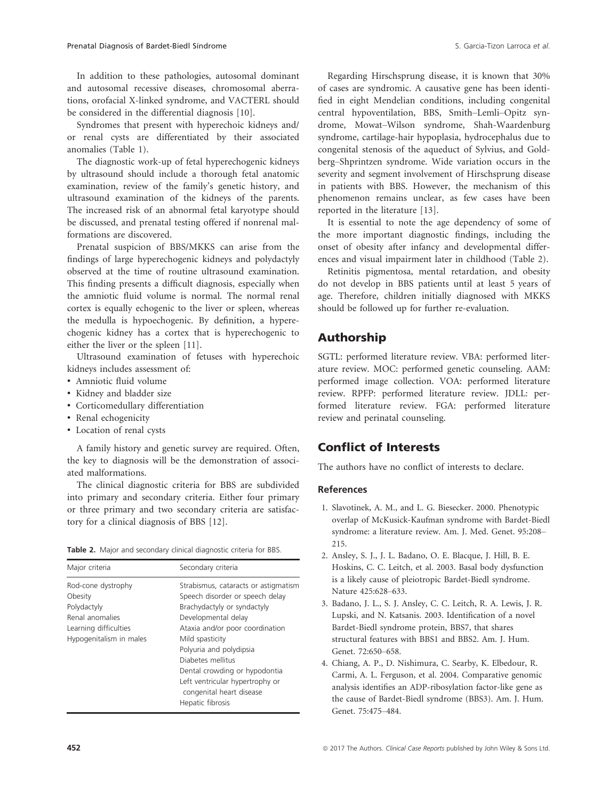In addition to these pathologies, autosomal dominant and autosomal recessive diseases, chromosomal aberrations, orofacial X-linked syndrome, and VACTERL should

be considered in the differential diagnosis [10]. Syndromes that present with hyperechoic kidneys and/ or renal cysts are differentiated by their associated anomalies (Table 1).

The diagnostic work-up of fetal hyperechogenic kidneys by ultrasound should include a thorough fetal anatomic examination, review of the family's genetic history, and ultrasound examination of the kidneys of the parents. The increased risk of an abnormal fetal karyotype should be discussed, and prenatal testing offered if nonrenal malformations are discovered.

Prenatal suspicion of BBS/MKKS can arise from the findings of large hyperechogenic kidneys and polydactyly observed at the time of routine ultrasound examination. This finding presents a difficult diagnosis, especially when the amniotic fluid volume is normal. The normal renal cortex is equally echogenic to the liver or spleen, whereas the medulla is hypoechogenic. By definition, a hyperechogenic kidney has a cortex that is hyperechogenic to either the liver or the spleen [11].

Ultrasound examination of fetuses with hyperechoic kidneys includes assessment of:

- Amniotic fluid volume
- Kidney and bladder size
- Corticomedullary differentiation
- Renal echogenicity
- Location of renal cysts

A family history and genetic survey are required. Often, the key to diagnosis will be the demonstration of associated malformations.

The clinical diagnostic criteria for BBS are subdivided into primary and secondary criteria. Either four primary or three primary and two secondary criteria are satisfactory for a clinical diagnosis of BBS [12].

|  |  |  |  |  |  | Table 2. Major and secondary clinical diagnostic criteria for BBS. |  |  |  |
|--|--|--|--|--|--|--------------------------------------------------------------------|--|--|--|
|--|--|--|--|--|--|--------------------------------------------------------------------|--|--|--|

| Major criteria                                                                                                      | Secondary criteria                                                                                                                                                                                                                                                                                                                                      |
|---------------------------------------------------------------------------------------------------------------------|---------------------------------------------------------------------------------------------------------------------------------------------------------------------------------------------------------------------------------------------------------------------------------------------------------------------------------------------------------|
| Rod-cone dystrophy<br>Obesity<br>Polydactyly<br>Renal anomalies<br>Learning difficulties<br>Hypogenitalism in males | Strabismus, cataracts or astigmatism<br>Speech disorder or speech delay<br>Brachydactyly or syndactyly<br>Developmental delay<br>Ataxia and/or poor coordination<br>Mild spasticity<br>Polyuria and polydipsia<br>Diabetes mellitus<br>Dental crowding or hypodontia<br>Left ventricular hypertrophy or<br>congenital heart disease<br>Hepatic fibrosis |

Regarding Hirschsprung disease, it is known that 30% of cases are syndromic. A causative gene has been identified in eight Mendelian conditions, including congenital central hypoventilation, BBS, Smith–Lemli–Opitz syndrome, Mowat–Wilson syndrome, Shah-Waardenburg syndrome, cartilage-hair hypoplasia, hydrocephalus due to congenital stenosis of the aqueduct of Sylvius, and Goldberg–Shprintzen syndrome. Wide variation occurs in the severity and segment involvement of Hirschsprung disease in patients with BBS. However, the mechanism of this phenomenon remains unclear, as few cases have been reported in the literature [13].

It is essential to note the age dependency of some of the more important diagnostic findings, including the onset of obesity after infancy and developmental differences and visual impairment later in childhood (Table 2).

Retinitis pigmentosa, mental retardation, and obesity do not develop in BBS patients until at least 5 years of age. Therefore, children initially diagnosed with MKKS should be followed up for further re-evaluation.

# Authorship

SGTL: performed literature review. VBA: performed literature review. MOC: performed genetic counseling. AAM: performed image collection. VOA: performed literature review. RPFP: performed literature review. JDLL: performed literature review. FGA: performed literature review and perinatal counseling.

# Conflict of Interests

The authors have no conflict of interests to declare.

#### References

- 1. Slavotinek, A. M., and L. G. Biesecker. 2000. Phenotypic overlap of McKusick-Kaufman syndrome with Bardet-Biedl syndrome: a literature review. Am. J. Med. Genet. 95:208– 215.
- 2. Ansley, S. J., J. L. Badano, O. E. Blacque, J. Hill, B. E. Hoskins, C. C. Leitch, et al. 2003. Basal body dysfunction is a likely cause of pleiotropic Bardet-Biedl syndrome. Nature 425:628–633.
- 3. Badano, J. L., S. J. Ansley, C. C. Leitch, R. A. Lewis, J. R. Lupski, and N. Katsanis. 2003. Identification of a novel Bardet-Biedl syndrome protein, BBS7, that shares structural features with BBS1 and BBS2. Am. J. Hum. Genet. 72:650–658.
- 4. Chiang, A. P., D. Nishimura, C. Searby, K. Elbedour, R. Carmi, A. L. Ferguson, et al. 2004. Comparative genomic analysis identifies an ADP-ribosylation factor-like gene as the cause of Bardet-Biedl syndrome (BBS3). Am. J. Hum. Genet. 75:475–484.